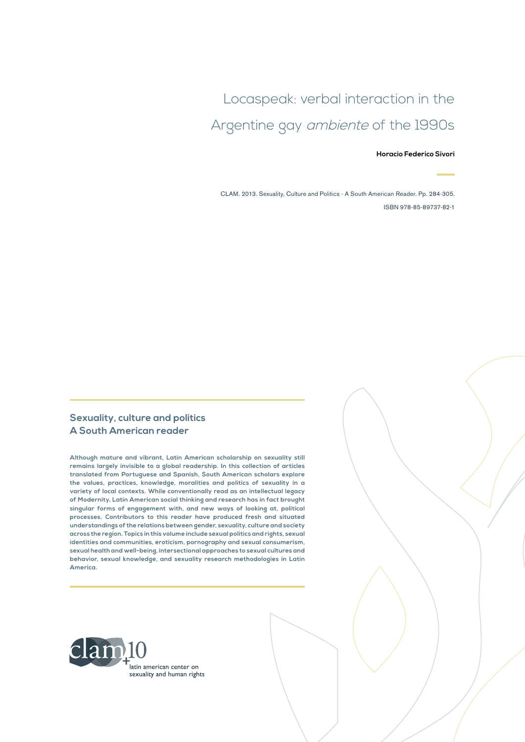# Locaspeak: verbal interaction in the Argentine gay ambiente of the 1990s

#### **Horacio Federico Sívori**

CLAM. 2013. Sexuality, Culture and Politics - A South American Reader. Pp. 284-305. ISBN 978-85-89737-82-1

#### **Sexuality, culture and politics A South American reader**

**Although mature and vibrant, Latin American scholarship on sexuality still remains largely invisible to a global readership. In this collection of articles translated from Portuguese and Spanish, South American scholars explore the values, practices, knowledge, moralities and politics of sexuality in a variety of local contexts. While conventionally read as an intellectual legacy of Modernity, Latin American social thinking and research has in fact brought singular forms of engagement with, and new ways of looking at, political processes. Contributors to this reader have produced fresh and situated understandings of the relations between gender, sexuality, culture and society across the region. Topics in this volume include sexual politics and rights, sexual identities and communities, eroticism, pornography and sexual consumerism, sexual health and well-being, intersectional approaches to sexual cultures and behavior, sexual knowledge, and sexuality research methodologies in Latin America.**

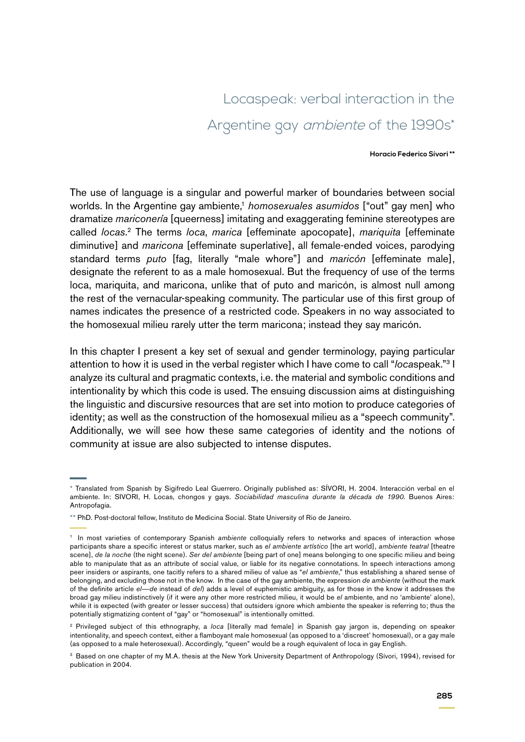# Locaspeak: verbal interaction in the Argentine gay *ambiente* of the 1990s\*

#### **Horacio Federico Sívori \*\***

The use of language is a singular and powerful marker of boundaries between social worlds. In the Argentine gay ambiente,<sup>1</sup> *homosexuales asumidos* ["out" gay men] who dramatize *mariconería* [queerness] imitating and exaggerating feminine stereotypes are called *locas*. 2 The terms *loca*, *marica* [effeminate apocopate], *mariquita* [effeminate diminutive] and *maricona* [effeminate superlative], all female-ended voices, parodying standard terms *puto* [fag, literally "male whore"] and *maricón* [effeminate male], designate the referent to as a male homosexual. But the frequency of use of the terms loca, mariquita, and maricona, unlike that of puto and maricón, is almost null among the rest of the vernacular-speaking community. The particular use of this first group of names indicates the presence of a restricted code. Speakers in no way associated to the homosexual milieu rarely utter the term maricona; instead they say maricón.

In this chapter I present a key set of sexual and gender terminology, paying particular attention to how it is used in the verbal register which I have come to call "*loca*speak."3 I analyze its cultural and pragmatic contexts, i.e. the material and symbolic conditions and intentionality by which this code is used. The ensuing discussion aims at distinguishing the linguistic and discursive resources that are set into motion to produce categories of identity; as well as the construction of the homosexual milieu as a "speech community". Additionally, we will see how these same categories of identity and the notions of community at issue are also subjected to intense disputes.

<sup>\*</sup> Translated from Spanish by Sigifredo Leal Guerrero. Originally published as: SÍVORI, H. 2004. Interacción verbal en el ambiente. In: SIVORI, H. Locas, chongos y gays. *Sociabilidad masculina durante la década de 1990*. Buenos Aires: Antropofagia.

<sup>\*\*</sup> PhD. Post-doctoral fellow, Instituto de Medicina Social. State University of Rio de Janeiro.

<sup>&</sup>lt;sup>1</sup> In most varieties of contemporary Spanish ambiente colloquially refers to networks and spaces of interaction whose participants share a specific interest or status marker, such as *el ambiente artístico* [the art world], *ambiente teatral* [theatre scene], *de la noche* (the night scene). *Ser del ambiente* [being part of one] means belonging to one specific milieu and being able to manipulate that as an attribute of social value, or liable for its negative connotations. In speech interactions among peer insiders or aspirants, one tacitly refers to a shared milieu of value as "*el ambiente*," thus establishing a shared sense of belonging, and excluding those not in the know. In the case of the gay ambiente, the expression *de ambiente* (without the mark of the definite article *el*—*de* instead of *del*) adds a level of euphemistic ambiguity, as for those in the know it addresses the broad gay milieu indistinctively (if it were any other more restricted milieu, it would be *el* ambiente, and no 'ambiente' alone), while it is expected (with greater or lesser success) that outsiders ignore which ambiente the speaker is referring to; thus the potentially stigmatizing content of "gay" or "homosexual" is intentionally omitted.

<sup>2</sup> Privileged subject of this ethnography, a *loca* [literally mad female] in Spanish gay jargon is, depending on speaker intentionality, and speech context, either a flamboyant male homosexual (as opposed to a 'discreet' homosexual), or a gay male (as opposed to a male heterosexual). Accordingly, "queen" would be a rough equivalent of loca in gay English.

<sup>&</sup>lt;sup>3</sup> Based on one chapter of my M.A. thesis at the New York University Department of Anthropology (Sívori, 1994), revised for publication in 2004.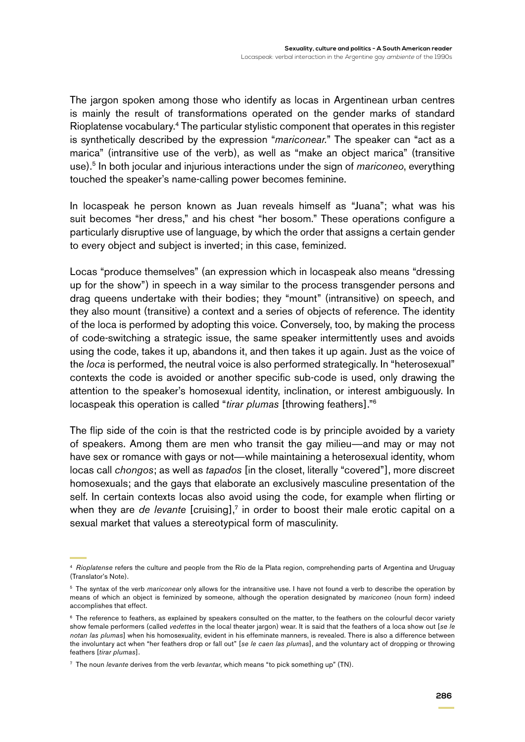The jargon spoken among those who identify as locas in Argentinean urban centres is mainly the result of transformations operated on the gender marks of standard Rioplatense vocabulary.4 The particular stylistic component that operates in this register is synthetically described by the expression "*mariconear.*" The speaker can "act as a marica" (intransitive use of the verb), as well as "make an object marica" (transitive use).5 In both jocular and injurious interactions under the sign of *mariconeo*, everything touched the speaker's name-calling power becomes feminine.

In locaspeak he person known as Juan reveals himself as "Juana"; what was his suit becomes "her dress," and his chest "her bosom." These operations configure a particularly disruptive use of language, by which the order that assigns a certain gender to every object and subject is inverted; in this case, feminized.

Locas "produce themselves" (an expression which in locaspeak also means "dressing up for the show") in speech in a way similar to the process transgender persons and drag queens undertake with their bodies; they "mount" (intransitive) on speech, and they also mount (transitive) a context and a series of objects of reference. The identity of the loca is performed by adopting this voice. Conversely, too, by making the process of code-switching a strategic issue, the same speaker intermittently uses and avoids using the code, takes it up, abandons it, and then takes it up again. Just as the voice of the *loca* is performed, the neutral voice is also performed strategically. In "heterosexual" contexts the code is avoided or another specific sub-code is used, only drawing the attention to the speaker's homosexual identity, inclination, or interest ambiguously. In locaspeak this operation is called "*tirar plumas* [throwing feathers]."6

The flip side of the coin is that the restricted code is by principle avoided by a variety of speakers. Among them are men who transit the gay milieu—and may or may not have sex or romance with gays or not—while maintaining a heterosexual identity, whom locas call *chongos*; as well as *tapados* [in the closet, literally "covered"], more discreet homosexuals; and the gays that elaborate an exclusively masculine presentation of the self. In certain contexts locas also avoid using the code, for example when flirting or when they are *de levante* [cruising],<sup>7</sup> in order to boost their male erotic capital on a sexual market that values a stereotypical form of masculinity.

<sup>4</sup> *Rioplatense* refers the culture and people from the Río de la Plata region, comprehending parts of Argentina and Uruguay (Translator's Note).

<sup>5</sup> The syntax of the verb *mariconear* only allows for the intransitive use. I have not found a verb to describe the operation by means of which an object is feminized by someone, although the operation designated by *mariconeo* (noun form) indeed accomplishes that effect.

<sup>&</sup>lt;sup>6</sup> The reference to feathers, as explained by speakers consulted on the matter, to the feathers on the colourful decor variety show female performers (called *vedettes* in the local theater jargon) wear. It is said that the feathers of a loca show out [*se le notan las plumas*] when his homosexuality, evident in his effeminate manners, is revealed. There is also a difference between the involuntary act when "her feathers drop or fall out" [*se le caen las plumas*], and the voluntary act of dropping or throwing feathers [*tirar plumas*].

<sup>7</sup> The noun *levante* derives from the verb *levantar*, which means "to pick something up" (TN).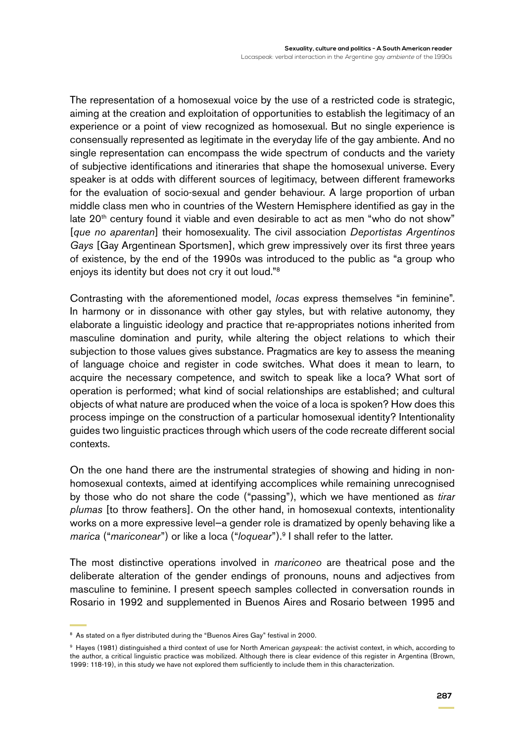The representation of a homosexual voice by the use of a restricted code is strategic, aiming at the creation and exploitation of opportunities to establish the legitimacy of an experience or a point of view recognized as homosexual. But no single experience is consensually represented as legitimate in the everyday life of the gay ambiente. And no single representation can encompass the wide spectrum of conducts and the variety of subjective identifications and itineraries that shape the homosexual universe. Every speaker is at odds with different sources of legitimacy, between different frameworks for the evaluation of socio-sexual and gender behaviour. A large proportion of urban middle class men who in countries of the Western Hemisphere identified as gay in the late 20<sup>th</sup> century found it viable and even desirable to act as men "who do not show" [*que no aparentan*] their homosexuality. The civil association *Deportistas Argentinos Gays* [Gay Argentinean Sportsmen], which grew impressively over its first three years of existence, by the end of the 1990s was introduced to the public as "a group who enjoys its identity but does not cry it out loud."8

Contrasting with the aforementioned model, *locas* express themselves "in feminine". In harmony or in dissonance with other gay styles, but with relative autonomy, they elaborate a linguistic ideology and practice that re-appropriates notions inherited from masculine domination and purity, while altering the object relations to which their subjection to those values gives substance. Pragmatics are key to assess the meaning of language choice and register in code switches. What does it mean to learn, to acquire the necessary competence, and switch to speak like a loca? What sort of operation is performed; what kind of social relationships are established; and cultural objects of what nature are produced when the voice of a loca is spoken? How does this process impinge on the construction of a particular homosexual identity? Intentionality guides two linguistic practices through which users of the code recreate different social contexts.

On the one hand there are the instrumental strategies of showing and hiding in nonhomosexual contexts, aimed at identifying accomplices while remaining unrecognised by those who do not share the code ("passing"), which we have mentioned as *tirar plumas* [to throw feathers]. On the other hand, in homosexual contexts, intentionality works on a more expressive level—a gender role is dramatized by openly behaving like a *marica* ("*mariconear*") or like a loca ("*loquear*").<sup>9</sup> I shall refer to the latter.

The most distinctive operations involved in *mariconeo* are theatrical pose and the deliberate alteration of the gender endings of pronouns, nouns and adjectives from masculine to feminine. I present speech samples collected in conversation rounds in Rosario in 1992 and supplemented in Buenos Aires and Rosario between 1995 and

<sup>&</sup>lt;sup>8</sup> As stated on a flyer distributed during the "Buenos Aires Gay" festival in 2000.

<sup>9</sup> Hayes (1981) distinguished a third context of use for North American *gayspeak*: the activist context, in which, according to the author, a critical linguistic practice was mobilized. Although there is clear evidence of this register in Argentina (Brown, 1999: 118-19), in this study we have not explored them sufficiently to include them in this characterization.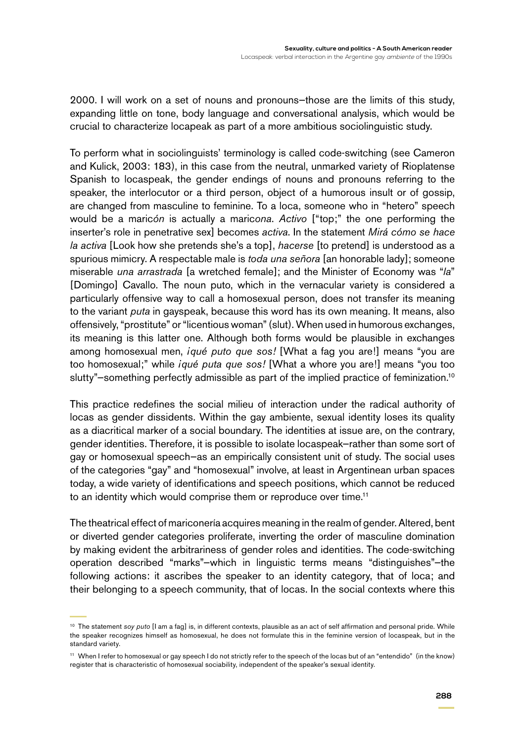2000. I will work on a set of nouns and pronouns—those are the limits of this study, expanding little on tone, body language and conversational analysis, which would be crucial to characterize locapeak as part of a more ambitious sociolinguistic study.

To perform what in sociolinguists' terminology is called code-switching (see Cameron and Kulick, 2003: 183), in this case from the neutral, unmarked variety of Rioplatense Spanish to locaspeak, the gender endings of nouns and pronouns referring to the speaker, the interlocutor or a third person, object of a humorous insult or of gossip, are changed from masculine to feminine. To a loca, someone who in "hetero" speech would be a maric*ón* is actually a maric*ona*. *Activo* ["top;" the one performing the inserter's role in penetrative sex] becomes *activa*. In the statement *Mirá cómo se hace la activa* [Look how she pretends she's a top], *hacerse* [to pretend] is understood as a spurious mimicry. A respectable male is *toda una señora* [an honorable lady]; someone miserable *una arrastrada* [a wretched female]; and the Minister of Economy was "*la*" [Domingo] Cavallo. The noun puto, which in the vernacular variety is considered a particularly offensive way to call a homosexual person, does not transfer its meaning to the variant *puta* in gayspeak, because this word has its own meaning. It means, also offensively, "prostitute" or "licentious woman" (slut). When used in humorous exchanges, its meaning is this latter one. Although both forms would be plausible in exchanges among homosexual men, *iqué puto que sos!* [What a fag you are!] means "you are too homosexual;" while *¡qué puta que sos!* [What a whore you are!] means "you too slutty"–something perfectly admissible as part of the implied practice of feminization.<sup>10</sup>

This practice redefines the social milieu of interaction under the radical authority of locas as gender dissidents. Within the gay ambiente, sexual identity loses its quality as a diacritical marker of a social boundary. The identities at issue are, on the contrary, gender identities. Therefore, it is possible to isolate locaspeak—rather than some sort of gay or homosexual speech—as an empirically consistent unit of study. The social uses of the categories "gay" and "homosexual" involve, at least in Argentinean urban spaces today, a wide variety of identifications and speech positions, which cannot be reduced to an identity which would comprise them or reproduce over time.<sup>11</sup>

The theatrical effect of mariconería acquires meaning in the realm of gender. Altered, bent or diverted gender categories proliferate, inverting the order of masculine domination by making evident the arbitrariness of gender roles and identities. The code-switching operation described "marks"—which in linguistic terms means "distinguishes"—the following actions: it ascribes the speaker to an identity category, that of loca; and their belonging to a speech community, that of locas. In the social contexts where this

<sup>&</sup>lt;sup>10</sup> The statement *soy puto* [I am a fag] is, in different contexts, plausible as an act of self affirmation and personal pride. While the speaker recognizes himself as homosexual, he does not formulate this in the feminine version of locaspeak, but in the standard variety.

<sup>&</sup>lt;sup>11</sup> When I refer to homosexual or gay speech I do not strictly refer to the speech of the locas but of an "entendido" (in the know) register that is characteristic of homosexual sociability, independent of the speaker's sexual identity.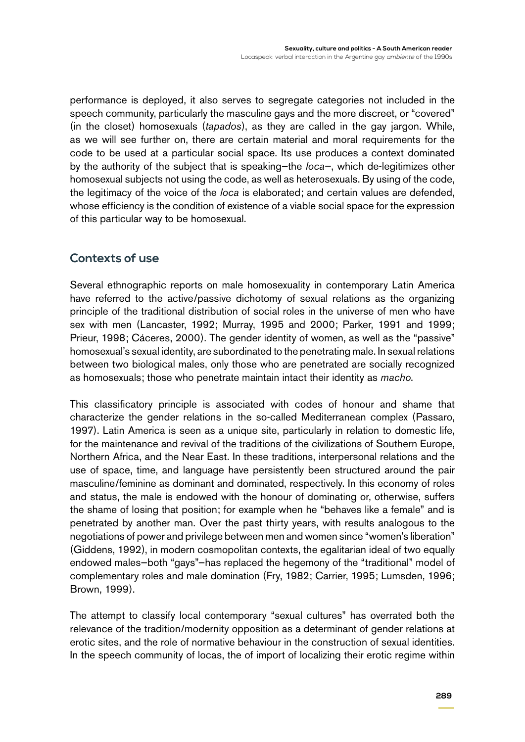performance is deployed, it also serves to segregate categories not included in the speech community, particularly the masculine gays and the more discreet, or "covered" (in the closet) homosexuals (*tapados*), as they are called in the gay jargon. While, as we will see further on, there are certain material and moral requirements for the code to be used at a particular social space. Its use produces a context dominated by the authority of the subject that is speaking—the *loca—*, which de-legitimizes other homosexual subjects not using the code, as well as heterosexuals. By using of the code, the legitimacy of the voice of the *loca* is elaborated; and certain values are defended, whose efficiency is the condition of existence of a viable social space for the expression of this particular way to be homosexual.

#### **Contexts of use**

Several ethnographic reports on male homosexuality in contemporary Latin America have referred to the active/passive dichotomy of sexual relations as the organizing principle of the traditional distribution of social roles in the universe of men who have sex with men (Lancaster, 1992; Murray, 1995 and 2000; Parker, 1991 and 1999; Prieur, 1998; Cáceres, 2000). The gender identity of women, as well as the "passive" homosexual's sexual identity, are subordinated to the penetrating male. In sexual relations between two biological males, only those who are penetrated are socially recognized as homosexuals; those who penetrate maintain intact their identity as *macho*.

This classificatory principle is associated with codes of honour and shame that characterize the gender relations in the so-called Mediterranean complex (Passaro, 1997). Latin America is seen as a unique site, particularly in relation to domestic life, for the maintenance and revival of the traditions of the civilizations of Southern Europe, Northern Africa, and the Near East. In these traditions, interpersonal relations and the use of space, time, and language have persistently been structured around the pair masculine/feminine as dominant and dominated, respectively. In this economy of roles and status, the male is endowed with the honour of dominating or, otherwise, suffers the shame of losing that position; for example when he "behaves like a female" and is penetrated by another man. Over the past thirty years, with results analogous to the negotiations of power and privilege between men and women since "women's liberation" (Giddens, 1992), in modern cosmopolitan contexts, the egalitarian ideal of two equally endowed males—both "gays"—has replaced the hegemony of the "traditional" model of complementary roles and male domination (Fry, 1982; Carrier, 1995; Lumsden, 1996; Brown, 1999).

The attempt to classify local contemporary "sexual cultures" has overrated both the relevance of the tradition/modernity opposition as a determinant of gender relations at erotic sites, and the role of normative behaviour in the construction of sexual identities. In the speech community of locas, the of import of localizing their erotic regime within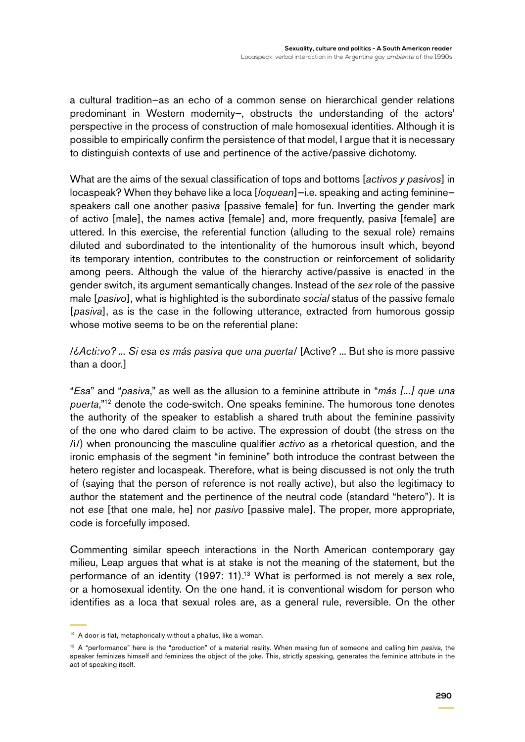a cultural tradition—as an echo of a common sense on hierarchical gender relations predominant in Western modernity—, obstructs the understanding of the actors' perspective in the process of construction of male homosexual identities. Although it is possible to empirically confirm the persistence of that model, I argue that it is necessary to distinguish contexts of use and pertinence of the active/passive dichotomy.

What are the aims of the sexual classification of tops and bottoms [*activos y pasivos*] in locaspeak? When they behave like a loca [*loquean*]—i.e. speaking and acting feminine speakers call one another pasiv*a* [passive female] for fun. Inverting the gender mark of activ*o* [male], the names activ*a* [female] and, more frequently, pasiv*a* [female] are uttered. In this exercise, the referential function (alluding to the sexual role) remains diluted and subordinated to the intentionality of the humorous insult which, beyond its temporary intention, contributes to the construction or reinforcement of solidarity among peers. Although the value of the hierarchy active/passive is enacted in the gender switch, its argument semantically changes. Instead of the *sex* role of the passive male [*pasivo*], what is highlighted is the subordinate *social* status of the passive female [*pasiva*], as is the case in the following utterance, extracted from humorous gossip whose motive seems to be on the referential plane:

/*¿Acti:vo? ... Si esa es más pasiva que una puerta*/ [Active? ... But she is more passive than a door.]

"*Esa*" and "*pasiva*," as well as the allusion to a feminine attribute in "*más [...] que una puerta*,"12 denote the code-switch. One speaks feminine. The humorous tone denotes the authority of the speaker to establish a shared truth about the feminine passivity of the one who dared claim to be active. The expression of doubt (the stress on the /i/) when pronouncing the masculine qualifier *activo* as a rhetorical question, and the ironic emphasis of the segment "in feminine" both introduce the contrast between the hetero register and locaspeak. Therefore, what is being discussed is not only the truth of (saying that the person of reference is not really active), but also the legitimacy to author the statement and the pertinence of the neutral code (standard "hetero"). It is not *ese* [that one male, he] nor *pasivo* [passive male]. The proper, more appropriate, code is forcefully imposed.

Commenting similar speech interactions in the North American contemporary gay milieu, Leap argues that what is at stake is not the meaning of the statement, but the performance of an identity (1997: 11).<sup>13</sup> What is performed is not merely a sex role, or a homosexual identity. On the one hand, it is conventional wisdom for person who identifies as a loca that sexual roles are, as a general rule, reversible. On the other

<sup>&</sup>lt;sup>12</sup> A door is flat, metaphorically without a phallus, like a woman.

<sup>13</sup> A "performance" here is the "production" of a material reality. When making fun of someone and calling him *pasiva*, the speaker feminizes himself and feminizes the object of the joke. This, strictly speaking, generates the feminine attribute in the act of speaking itself.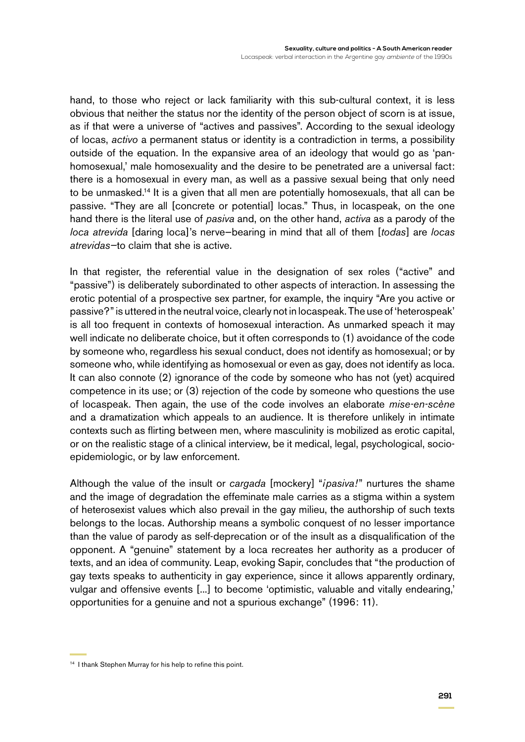hand, to those who reject or lack familiarity with this sub-cultural context, it is less obvious that neither the status nor the identity of the person object of scorn is at issue, as if that were a universe of "actives and passives". According to the sexual ideology of locas, *activo* a permanent status or identity is a contradiction in terms, a possibility outside of the equation. In the expansive area of an ideology that would go as 'panhomosexual,' male homosexuality and the desire to be penetrated are a universal fact: there is a homosexual in every man, as well as a passive sexual being that only need to be unmasked.<sup>14</sup> It is a given that all men are potentially homosexuals, that all can be passive. "They are all [concrete or potential] locas." Thus, in locaspeak, on the one hand there is the literal use of *pasiva* and, on the other hand, *activa* as a parody of the *loca atrevida* [daring loca]'s nerve—bearing in mind that all of them [*todas*] are *locas atrevidas—*to claim that she is active.

In that register, the referential value in the designation of sex roles ("active" and "passive") is deliberately subordinated to other aspects of interaction. In assessing the erotic potential of a prospective sex partner, for example, the inquiry "Are you active or passive?" is uttered in the neutral voice, clearly not in locaspeak. The use of 'heterospeak' is all too frequent in contexts of homosexual interaction. As unmarked speach it may well indicate no deliberate choice, but it often corresponds to (1) avoidance of the code by someone who, regardless his sexual conduct, does not identify as homosexual; or by someone who, while identifying as homosexual or even as gay, does not identify as loca. It can also connote (2) ignorance of the code by someone who has not (yet) acquired competence in its use; or (3) rejection of the code by someone who questions the use of locaspeak. Then again, the use of the code involves an elaborate *mise-en-scène* and a dramatization which appeals to an audience. It is therefore unlikely in intimate contexts such as flirting between men, where masculinity is mobilized as erotic capital, or on the realistic stage of a clinical interview, be it medical, legal, psychological, socioepidemiologic, or by law enforcement.

Although the value of the insult or *cargada* [mockery] "*¡pasiva!*" nurtures the shame and the image of degradation the effeminate male carries as a stigma within a system of heterosexist values which also prevail in the gay milieu, the authorship of such texts belongs to the locas. Authorship means a symbolic conquest of no lesser importance than the value of parody as self-deprecation or of the insult as a disqualification of the opponent. A "genuine" statement by a loca recreates her authority as a producer of texts, and an idea of community. Leap, evoking Sapir, concludes that "the production of gay texts speaks to authenticity in gay experience, since it allows apparently ordinary, vulgar and offensive events [...] to become 'optimistic, valuable and vitally endearing,' opportunities for a genuine and not a spurious exchange" (1996: 11).

<sup>&</sup>lt;sup>14</sup> I thank Stephen Murray for his help to refine this point.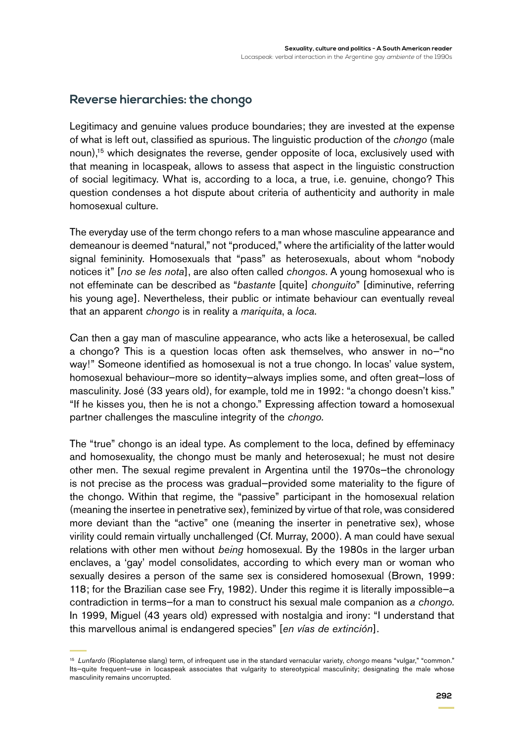#### **Reverse hierarchies: the chongo**

Legitimacy and genuine values produce boundaries; they are invested at the expense of what is left out, classified as spurious. The linguistic production of the *chongo* (male noun),<sup>15</sup> which designates the reverse, gender opposite of loca, exclusively used with that meaning in locaspeak, allows to assess that aspect in the linguistic construction of social legitimacy. What is, according to a loca, a true, i.e. genuine, chongo? This question condenses a hot dispute about criteria of authenticity and authority in male homosexual culture.

The everyday use of the term chongo refers to a man whose masculine appearance and demeanour is deemed "natural," not "produced," where the artificiality of the latter would signal femininity. Homosexuals that "pass" as heterosexuals, about whom "nobody notices it" [*no se les nota*], are also often called *chongos*. A young homosexual who is not effeminate can be described as "*bastante* [quite] *chonguito*" [diminutive, referring his young age]. Nevertheless, their public or intimate behaviour can eventually reveal that an apparent *chongo* is in reality a *mariquita*, a *loca*.

Can then a gay man of masculine appearance, who acts like a heterosexual, be called a chongo? This is a question locas often ask themselves, who answer in no—"no way!" Someone identified as homosexual is not a true chongo. In locas' value system, homosexual behaviour—more so identity—always implies some, and often great—loss of masculinity. José (33 years old), for example, told me in 1992: "a chongo doesn't kiss." "If he kisses you, then he is not a chongo." Expressing affection toward a homosexual partner challenges the masculine integrity of the *chongo.*

The "true" chongo is an ideal type. As complement to the loca, defined by effeminacy and homosexuality, the chongo must be manly and heterosexual; he must not desire other men. The sexual regime prevalent in Argentina until the 1970s—the chronology is not precise as the process was gradual—provided some materiality to the figure of the chongo. Within that regime, the "passive" participant in the homosexual relation (meaning the insertee in penetrative sex), feminized by virtue of that role, was considered more deviant than the "active" one (meaning the inserter in penetrative sex), whose virility could remain virtually unchallenged (Cf. Murray, 2000). A man could have sexual relations with other men without *being* homosexual. By the 1980s in the larger urban enclaves, a 'gay' model consolidates, according to which every man or woman who sexually desires a person of the same sex is considered homosexual (Brown, 1999: 118; for the Brazilian case see Fry, 1982). Under this regime it is literally impossible—a contradiction in terms—for a man to construct his sexual male companion as *a chongo.* In 1999, Miguel (43 years old) expressed with nostalgia and irony: "I understand that this marvellous animal is endangered species" [*en vías de extinción*].

<sup>15</sup> *Lunfardo* (Rioplatense slang) term, of infrequent use in the standard vernacular variety, *chongo* means "vulgar," "common." Its—quite frequent—use in locaspeak associates that vulgarity to stereotypical masculinity; designating the male whose masculinity remains uncorrupted.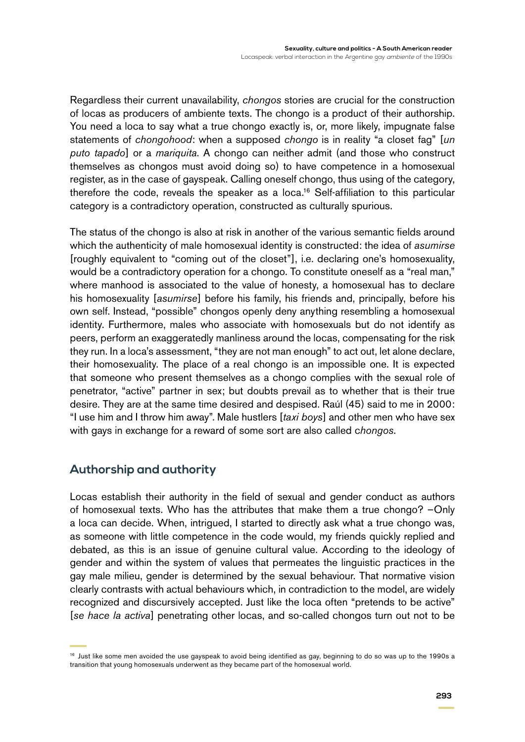Regardless their current unavailability, *chongos* stories are crucial for the construction of locas as producers of ambiente texts. The chongo is a product of their authorship. You need a loca to say what a true chongo exactly is, or, more likely, impugnate false statements of *chongohood*: when a supposed *chongo* is in reality "a closet fag" [*un puto tapado*] or a *mariquita*. A chongo can neither admit (and those who construct themselves as chongos must avoid doing so) to have competence in a homosexual register, as in the case of gayspeak. Calling oneself chongo, thus using of the category, therefore the code, reveals the speaker as a loca.<sup>16</sup> Self-affiliation to this particular category is a contradictory operation, constructed as culturally spurious.

The status of the chongo is also at risk in another of the various semantic fields around which the authenticity of male homosexual identity is constructed: the idea of *asumirse* [roughly equivalent to "coming out of the closet"], i.e. declaring one's homosexuality, would be a contradictory operation for a chongo. To constitute oneself as a "real man," where manhood is associated to the value of honesty, a homosexual has to declare his homosexuality [*asumirse*] before his family, his friends and, principally, before his own self. Instead, "possible" chongos openly deny anything resembling a homosexual identity. Furthermore, males who associate with homosexuals but do not identify as peers, perform an exaggeratedly manliness around the locas, compensating for the risk they run. In a loca's assessment, "they are not man enough" to act out, let alone declare, their homosexuality. The place of a real chongo is an impossible one. It is expected that someone who present themselves as a chongo complies with the sexual role of penetrator, "active" partner in sex; but doubts prevail as to whether that is their true desire. They are at the same time desired and despised. Raúl (45) said to me in 2000: "I use him and I throw him away". Male hustlers [*taxi boys*] and other men who have sex with gays in exchange for a reward of some sort are also called c*hongos*.

#### **Authorship and authority**

Locas establish their authority in the field of sexual and gender conduct as authors of homosexual texts. Who has the attributes that make them a true chongo? –Only a loca can decide. When, intrigued, I started to directly ask what a true chongo was, as someone with little competence in the code would, my friends quickly replied and debated, as this is an issue of genuine cultural value. According to the ideology of gender and within the system of values that permeates the linguistic practices in the gay male milieu, gender is determined by the sexual behaviour. That normative vision clearly contrasts with actual behaviours which, in contradiction to the model, are widely recognized and discursively accepted. Just like the loca often "pretends to be active" [*se hace la activa*] penetrating other locas, and so-called chongos turn out not to be

<sup>&</sup>lt;sup>16</sup> Just like some men avoided the use gayspeak to avoid being identified as gay, beginning to do so was up to the 1990s a transition that young homosexuals underwent as they became part of the homosexual world.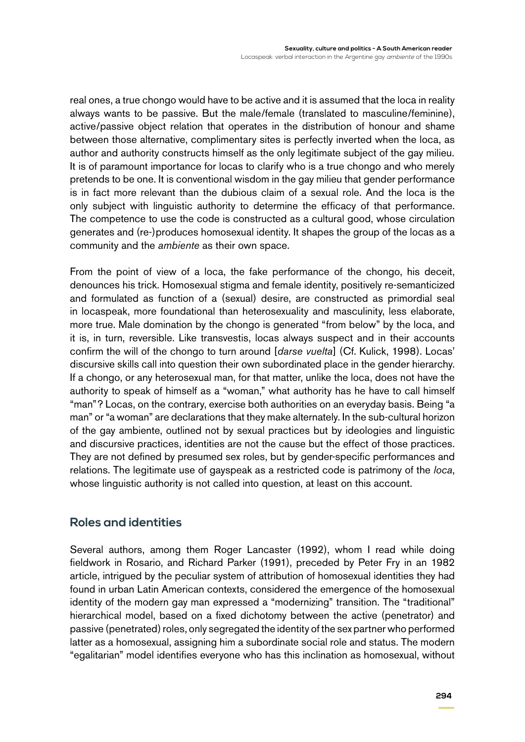real ones, a true chongo would have to be active and it is assumed that the loca in reality always wants to be passive. But the male/female (translated to masculine/feminine), active/passive object relation that operates in the distribution of honour and shame between those alternative, complimentary sites is perfectly inverted when the loca, as author and authority constructs himself as the only legitimate subject of the gay milieu. It is of paramount importance for locas to clarify who is a true chongo and who merely pretends to be one. It is conventional wisdom in the gay milieu that gender performance is in fact more relevant than the dubious claim of a sexual role. And the loca is the only subject with linguistic authority to determine the efficacy of that performance. The competence to use the code is constructed as a cultural good, whose circulation generates and (re-)produces homosexual identity. It shapes the group of the locas as a community and the *ambiente* as their own space.

From the point of view of a loca, the fake performance of the chongo, his deceit, denounces his trick. Homosexual stigma and female identity, positively re-semanticized and formulated as function of a (sexual) desire, are constructed as primordial seal in locaspeak, more foundational than heterosexuality and masculinity, less elaborate, more true. Male domination by the chongo is generated "from below" by the loca, and it is, in turn, reversible. Like transvestis, locas always suspect and in their accounts confirm the will of the chongo to turn around [*darse vuelta*] (Cf. Kulick, 1998). Locas' discursive skills call into question their own subordinated place in the gender hierarchy. If a chongo, or any heterosexual man, for that matter, unlike the loca, does not have the authority to speak of himself as a "woman," what authority has he have to call himself "man"? Locas, on the contrary, exercise both authorities on an everyday basis. Being "a man" or "a woman" are declarations that they make alternately. In the sub-cultural horizon of the gay ambiente, outlined not by sexual practices but by ideologies and linguistic and discursive practices, identities are not the cause but the effect of those practices. They are not defined by presumed sex roles, but by gender-specific performances and relations. The legitimate use of gayspeak as a restricted code is patrimony of the *loca*, whose linguistic authority is not called into question, at least on this account.

### **Roles and identities**

Several authors, among them Roger Lancaster (1992), whom I read while doing fieldwork in Rosario, and Richard Parker (1991), preceded by Peter Fry in an 1982 article, intrigued by the peculiar system of attribution of homosexual identities they had found in urban Latin American contexts, considered the emergence of the homosexual identity of the modern gay man expressed a "modernizing" transition. The "traditional" hierarchical model, based on a fixed dichotomy between the active (penetrator) and passive (penetrated) roles, only segregated the identity of the sex partner who performed latter as a homosexual, assigning him a subordinate social role and status. The modern "egalitarian" model identifies everyone who has this inclination as homosexual, without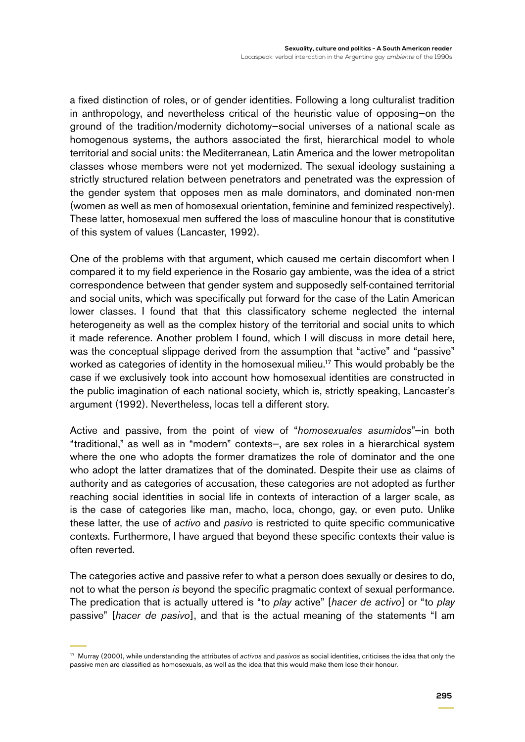a fixed distinction of roles, or of gender identities. Following a long culturalist tradition in anthropology, and nevertheless critical of the heuristic value of opposing—on the ground of the tradition/modernity dichotomy—social universes of a national scale as homogenous systems, the authors associated the first, hierarchical model to whole territorial and social units: the Mediterranean, Latin America and the lower metropolitan classes whose members were not yet modernized. The sexual ideology sustaining a strictly structured relation between penetrators and penetrated was the expression of the gender system that opposes men as male dominators, and dominated non-men (women as well as men of homosexual orientation, feminine and feminized respectively). These latter, homosexual men suffered the loss of masculine honour that is constitutive of this system of values (Lancaster, 1992).

One of the problems with that argument, which caused me certain discomfort when I compared it to my field experience in the Rosario gay ambiente, was the idea of a strict correspondence between that gender system and supposedly self-contained territorial and social units, which was specifically put forward for the case of the Latin American lower classes. I found that that this classificatory scheme neglected the internal heterogeneity as well as the complex history of the territorial and social units to which it made reference. Another problem I found, which I will discuss in more detail here, was the conceptual slippage derived from the assumption that "active" and "passive" worked as categories of identity in the homosexual milieu.<sup>17</sup> This would probably be the case if we exclusively took into account how homosexual identities are constructed in the public imagination of each national society, which is, strictly speaking, Lancaster's argument (1992). Nevertheless, locas tell a different story.

Active and passive, from the point of view of "*homosexuales asumidos*"—in both "traditional," as well as in "modern" contexts—, are sex roles in a hierarchical system where the one who adopts the former dramatizes the role of dominator and the one who adopt the latter dramatizes that of the dominated. Despite their use as claims of authority and as categories of accusation, these categories are not adopted as further reaching social identities in social life in contexts of interaction of a larger scale, as is the case of categories like man, macho, loca, chongo, gay, or even puto. Unlike these latter, the use of *activo* and *pasivo* is restricted to quite specific communicative contexts. Furthermore, I have argued that beyond these specific contexts their value is often reverted.

The categories active and passive refer to what a person does sexually or desires to do, not to what the person *is* beyond the specific pragmatic context of sexual performance. The predication that is actually uttered is "to *play* active" [*hacer de activo*] or "to *play* passive" [*hacer de pasivo*], and that is the actual meaning of the statements "I am

<sup>17</sup> Murray (2000), while understanding the attributes of *activos* and *pasivos* as social identities, criticises the idea that only the passive men are classified as homosexuals, as well as the idea that this would make them lose their honour.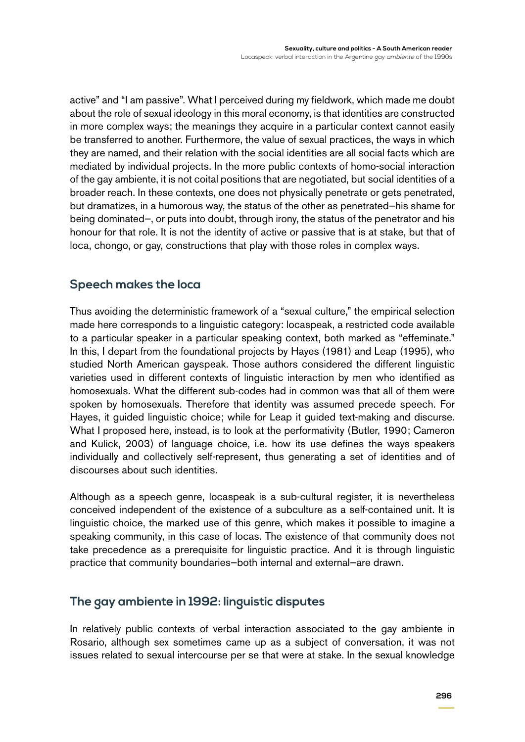active" and "I am passive". What I perceived during my fieldwork, which made me doubt about the role of sexual ideology in this moral economy, is that identities are constructed in more complex ways; the meanings they acquire in a particular context cannot easily be transferred to another. Furthermore, the value of sexual practices, the ways in which they are named, and their relation with the social identities are all social facts which are mediated by individual projects. In the more public contexts of homo-social interaction of the gay ambiente, it is not coital positions that are negotiated, but social identities of a broader reach. In these contexts, one does not physically penetrate or gets penetrated, but dramatizes, in a humorous way, the status of the other as penetrated—his shame for being dominated—, or puts into doubt, through irony, the status of the penetrator and his honour for that role. It is not the identity of active or passive that is at stake, but that of loca, chongo, or gay, constructions that play with those roles in complex ways.

#### **Speech makes the loca**

Thus avoiding the deterministic framework of a "sexual culture," the empirical selection made here corresponds to a linguistic category: locaspeak, a restricted code available to a particular speaker in a particular speaking context, both marked as "effeminate." In this, I depart from the foundational projects by Hayes (1981) and Leap (1995), who studied North American gayspeak. Those authors considered the different linguistic varieties used in different contexts of linguistic interaction by men who identified as homosexuals. What the different sub-codes had in common was that all of them were spoken by homosexuals. Therefore that identity was assumed precede speech. For Hayes, it guided linguistic choice; while for Leap it guided text-making and discurse. What I proposed here, instead, is to look at the performativity (Butler, 1990; Cameron and Kulick, 2003) of language choice, i.e. how its use defines the ways speakers individually and collectively self-represent, thus generating a set of identities and of discourses about such identities.

Although as a speech genre, locaspeak is a sub-cultural register, it is nevertheless conceived independent of the existence of a subculture as a self-contained unit. It is linguistic choice, the marked use of this genre, which makes it possible to imagine a speaking community, in this case of locas. The existence of that community does not take precedence as a prerequisite for linguistic practice. And it is through linguistic practice that community boundaries—both internal and external—are drawn.

#### **The gay ambiente in 1992: linguistic disputes**

In relatively public contexts of verbal interaction associated to the gay ambiente in Rosario, although sex sometimes came up as a subject of conversation, it was not issues related to sexual intercourse per se that were at stake. In the sexual knowledge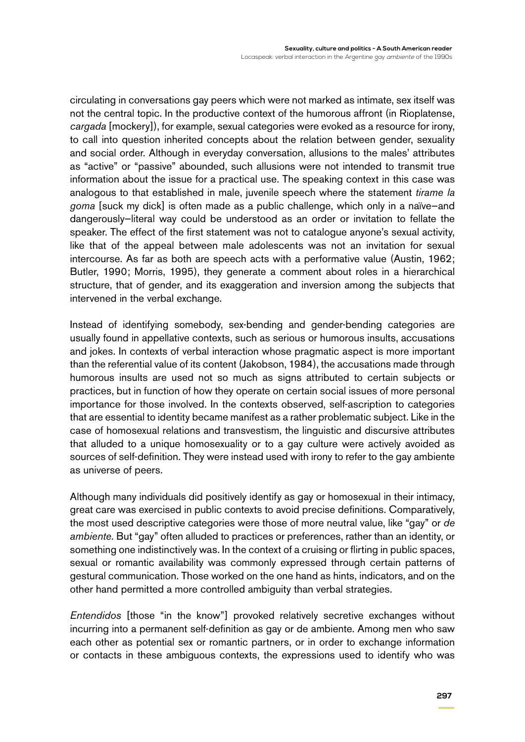circulating in conversations gay peers which were not marked as intimate, sex itself was not the central topic. In the productive context of the humorous affront (in Rioplatense, *cargada* [mockery]), for example, sexual categories were evoked as a resource for irony, to call into question inherited concepts about the relation between gender, sexuality and social order. Although in everyday conversation, allusions to the males' attributes as "active" or "passive" abounded, such allusions were not intended to transmit true information about the issue for a practical use. The speaking context in this case was analogous to that established in male, juvenile speech where the statement *tirame la goma* [suck my dick] is often made as a public challenge, which only in a naïve—and dangerously—literal way could be understood as an order or invitation to fellate the speaker. The effect of the first statement was not to catalogue anyone's sexual activity, like that of the appeal between male adolescents was not an invitation for sexual intercourse. As far as both are speech acts with a performative value (Austin, 1962; Butler, 1990; Morris, 1995), they generate a comment about roles in a hierarchical structure, that of gender, and its exaggeration and inversion among the subjects that intervened in the verbal exchange.

Instead of identifying somebody, sex-bending and gender-bending categories are usually found in appellative contexts, such as serious or humorous insults, accusations and jokes. In contexts of verbal interaction whose pragmatic aspect is more important than the referential value of its content (Jakobson, 1984), the accusations made through humorous insults are used not so much as signs attributed to certain subjects or practices, but in function of how they operate on certain social issues of more personal importance for those involved. In the contexts observed, self-ascription to categories that are essential to identity became manifest as a rather problematic subject. Like in the case of homosexual relations and transvestism, the linguistic and discursive attributes that alluded to a unique homosexuality or to a gay culture were actively avoided as sources of self-definition. They were instead used with irony to refer to the gay ambiente as universe of peers.

Although many individuals did positively identify as gay or homosexual in their intimacy, great care was exercised in public contexts to avoid precise definitions. Comparatively, the most used descriptive categories were those of more neutral value, like "gay" or *de ambiente.* But "gay" often alluded to practices or preferences, rather than an identity, or something one indistinctively was. In the context of a cruising or flirting in public spaces, sexual or romantic availability was commonly expressed through certain patterns of gestural communication. Those worked on the one hand as hints, indicators, and on the other hand permitted a more controlled ambiguity than verbal strategies.

*Entendidos* [those "in the know"] provoked relatively secretive exchanges without incurring into a permanent self-definition as gay or de ambiente. Among men who saw each other as potential sex or romantic partners, or in order to exchange information or contacts in these ambiguous contexts, the expressions used to identify who was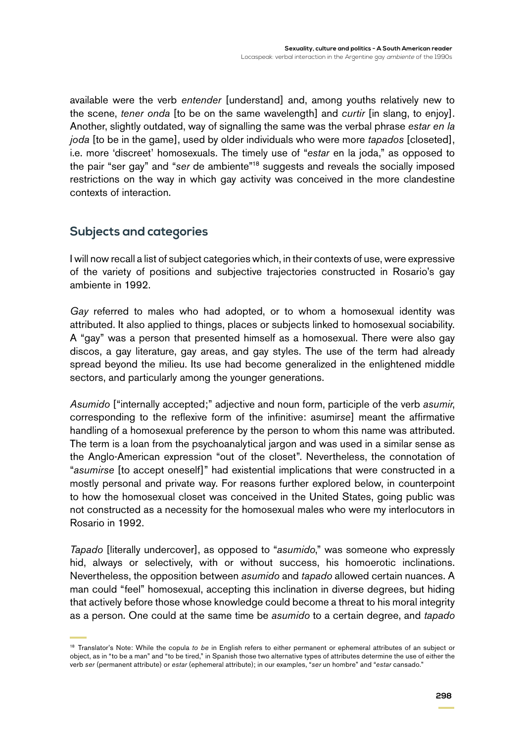available were the verb *entender* [understand] and, among youths relatively new to the scene, *tener onda* [to be on the same wavelength] and *curtir* [in slang, to enjoy]. Another, slightly outdated, way of signalling the same was the verbal phrase *estar en la joda* [to be in the game], used by older individuals who were more *tapados* [closeted], i.e. more 'discreet' homosexuals. The timely use of "*estar* en la joda," as opposed to the pair "ser gay" and "*ser* de ambiente"18 suggests and reveals the socially imposed restrictions on the way in which gay activity was conceived in the more clandestine contexts of interaction.

## **Subjects and categories**

I will now recall a list of subject categories which, in their contexts of use, were expressive of the variety of positions and subjective trajectories constructed in Rosario's gay ambiente in 1992.

*Gay* referred to males who had adopted, or to whom a homosexual identity was attributed. It also applied to things, places or subjects linked to homosexual sociability. A "gay" was a person that presented himself as a homosexual. There were also gay discos, a gay literature, gay areas, and gay styles. The use of the term had already spread beyond the milieu. Its use had become generalized in the enlightened middle sectors, and particularly among the younger generations.

*Asumido* ["internally accepted;" adjective and noun form, participle of the verb *asumir*, corresponding to the reflexive form of the infinitive: asumir*se*] meant the affirmative handling of a homosexual preference by the person to whom this name was attributed. The term is a loan from the psychoanalytical jargon and was used in a similar sense as the Anglo-American expression "out of the closet". Nevertheless, the connotation of "*asumirse* [to accept oneself]" had existential implications that were constructed in a mostly personal and private way. For reasons further explored below, in counterpoint to how the homosexual closet was conceived in the United States, going public was not constructed as a necessity for the homosexual males who were my interlocutors in Rosario in 1992.

*Tapado* [literally undercover], as opposed to "*asumido*," was someone who expressly hid, always or selectively, with or without success, his homoerotic inclinations. Nevertheless, the opposition between *asumido* and *tapado* allowed certain nuances. A man could "feel" homosexual, accepting this inclination in diverse degrees, but hiding that actively before those whose knowledge could become a threat to his moral integrity as a person. One could at the same time be *asumido* to a certain degree, and *tapado*

<sup>18</sup> Translator's Note: While the copula *to be* in English refers to either permanent or ephemeral attributes of an subject or object, as in "to be a man" and "to be tired," in Spanish those two alternative types of attributes determine the use of either the verb *ser* (permanent attribute) or *estar* (ephemeral attribute); in our examples, "*ser* un hombre" and "*estar* cansado."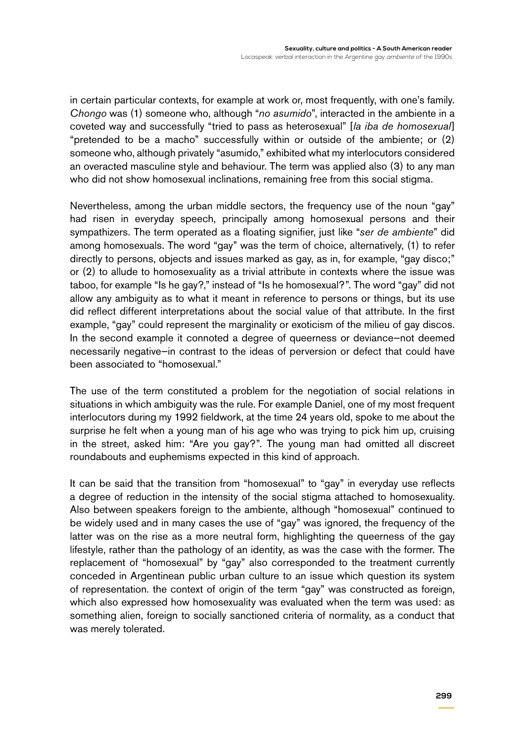in certain particular contexts, for example at work or, most frequently, with one's family. *Chongo* was (1) someone who, although "*no asumido*", interacted in the ambiente in a coveted way and successfully "tried to pass as heterosexual" [*la iba de homosexual*] "pretended to be a macho" successfully within or outside of the ambiente; or (2) someone who, although privately "asumido," exhibited what my interlocutors considered an overacted masculine style and behaviour. The term was applied also (3) to any man who did not show homosexual inclinations, remaining free from this social stigma.

Nevertheless, among the urban middle sectors, the frequency use of the noun "gay" had risen in everyday speech, principally among homosexual persons and their sympathizers. The term operated as a floating signifier, just like "*ser de ambiente*" did among homosexuals. The word "gay" was the term of choice, alternatively, (1) to refer directly to persons, objects and issues marked as gay, as in, for example, "gay disco;" or (2) to allude to homosexuality as a trivial attribute in contexts where the issue was taboo, for example "Is he gay?," instead of "Is he homosexual?". The word "gay" did not allow any ambiguity as to what it meant in reference to persons or things, but its use did reflect different interpretations about the social value of that attribute. In the first example, "gay" could represent the marginality or exoticism of the milieu of gay discos. In the second example it connoted a degree of queerness or deviance—not deemed necessarily negative—in contrast to the ideas of perversion or defect that could have been associated to "homosexual."

The use of the term constituted a problem for the negotiation of social relations in situations in which ambiguity was the rule. For example Daniel, one of my most frequent interlocutors during my 1992 fieldwork, at the time 24 years old, spoke to me about the surprise he felt when a young man of his age who was trying to pick him up, cruising in the street, asked him: "Are you gay?". The young man had omitted all discreet roundabouts and euphemisms expected in this kind of approach.

It can be said that the transition from "homosexual" to "gay" in everyday use reflects a degree of reduction in the intensity of the social stigma attached to homosexuality. Also between speakers foreign to the ambiente, although "homosexual" continued to be widely used and in many cases the use of "gay" was ignored, the frequency of the latter was on the rise as a more neutral form, highlighting the queerness of the gay lifestyle, rather than the pathology of an identity, as was the case with the former. The replacement of "homosexual" by "gay" also corresponded to the treatment currently conceded in Argentinean public urban culture to an issue which question its system of representation. the context of origin of the term "gay" was constructed as foreign, which also expressed how homosexuality was evaluated when the term was used: as something alien, foreign to socially sanctioned criteria of normality, as a conduct that was merely tolerated.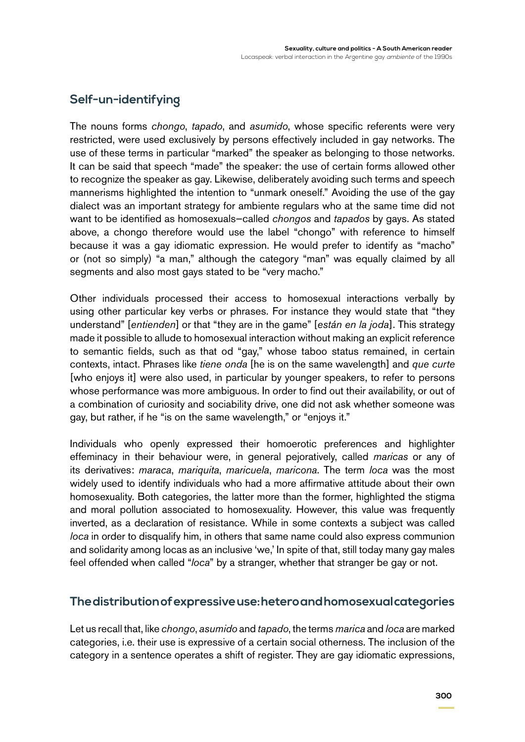## **Self-un-identifying**

The nouns forms *chongo*, *tapado*, and *asumido*, whose specific referents were very restricted, were used exclusively by persons effectively included in gay networks. The use of these terms in particular "marked" the speaker as belonging to those networks. It can be said that speech "made" the speaker: the use of certain forms allowed other to recognize the speaker as gay. Likewise, deliberately avoiding such terms and speech mannerisms highlighted the intention to "unmark oneself." Avoiding the use of the gay dialect was an important strategy for ambiente regulars who at the same time did not want to be identified as homosexuals—called *chongos* and *tapados* by gays. As stated above, a chongo therefore would use the label "chongo" with reference to himself because it was a gay idiomatic expression. He would prefer to identify as "macho" or (not so simply) "a man," although the category "man" was equally claimed by all segments and also most gays stated to be "very macho."

Other individuals processed their access to homosexual interactions verbally by using other particular key verbs or phrases. For instance they would state that "they understand" [*entienden*] or that "they are in the game" [*están en la joda*]. This strategy made it possible to allude to homosexual interaction without making an explicit reference to semantic fields, such as that od "gay," whose taboo status remained, in certain contexts, intact. Phrases like *tiene onda* [he is on the same wavelength] and *que curte* [who enjoys it] were also used, in particular by younger speakers, to refer to persons whose performance was more ambiguous. In order to find out their availability, or out of a combination of curiosity and sociability drive, one did not ask whether someone was gay, but rather, if he "is on the same wavelength," or "enjoys it."

Individuals who openly expressed their homoerotic preferences and highlighter effeminacy in their behaviour were, in general pejoratively, called *maricas* or any of its derivatives: *maraca*, *mariquita*, *maricuela*, *maricona*. The term *loca* was the most widely used to identify individuals who had a more affirmative attitude about their own homosexuality. Both categories, the latter more than the former, highlighted the stigma and moral pollution associated to homosexuality. However, this value was frequently inverted, as a declaration of resistance. While in some contexts a subject was called *loca* in order to disqualify him, in others that same name could also express communion and solidarity among locas as an inclusive 'we,' In spite of that, still today many gay males feel offended when called "*loca*" by a stranger, whether that stranger be gay or not.

#### **The distribution of expressive use: hetero and homosexual categories**

Let us recall that, like *chongo*, *asumido* and *tapado*, the terms *marica* and *loca* are marked categories, i.e. their use is expressive of a certain social otherness. The inclusion of the category in a sentence operates a shift of register. They are gay idiomatic expressions,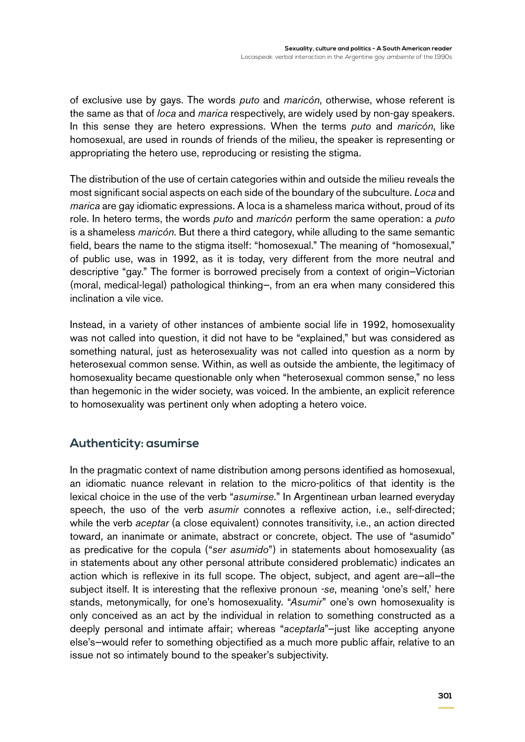of exclusive use by gays. The words *puto* and *maricón*, otherwise, whose referent is the same as that of *loca* and *marica* respectively, are widely used by non-gay speakers. In this sense they are hetero expressions. When the terms *puto* and *maricón*, like homosexual, are used in rounds of friends of the milieu, the speaker is representing or appropriating the hetero use, reproducing or resisting the stigma.

The distribution of the use of certain categories within and outside the milieu reveals the most significant social aspects on each side of the boundary of the subculture. *Loca* and *marica* are gay idiomatic expressions. A loca is a shameless marica without, proud of its role. In hetero terms, the words *puto* and *maricón* perform the same operation: a *puto* is a shameless *maricón*. But there a third category, while alluding to the same semantic field, bears the name to the stigma itself: "homosexual." The meaning of "homosexual," of public use, was in 1992, as it is today, very different from the more neutral and descriptive "gay." The former is borrowed precisely from a context of origin—Victorian (moral, medical-legal) pathological thinking—, from an era when many considered this inclination a vile vice.

Instead, in a variety of other instances of ambiente social life in 1992, homosexuality was not called into question, it did not have to be "explained," but was considered as something natural, just as heterosexuality was not called into question as a norm by heterosexual common sense. Within, as well as outside the ambiente, the legitimacy of homosexuality became questionable only when "heterosexual common sense," no less than hegemonic in the wider society, was voiced. In the ambiente, an explicit reference to homosexuality was pertinent only when adopting a hetero voice.

### **Authenticity: asumirse**

In the pragmatic context of name distribution among persons identified as homosexual, an idiomatic nuance relevant in relation to the micro-politics of that identity is the lexical choice in the use of the verb "*asumirse.*" In Argentinean urban learned everyday speech, the uso of the verb *asumir* connotes a reflexive action, i.e., self-directed; while the verb *aceptar* (a close equivalent) connotes transitivity, i.e., an action directed toward, an inanimate or animate, abstract or concrete, object. The use of "asumido" as predicative for the copula ("*ser asumido*") in statements about homosexuality (as in statements about any other personal attribute considered problematic) indicates an action which is reflexive in its full scope. The object, subject, and agent are—all—the subject itself. It is interesting that the reflexive pronoun *-se*, meaning 'one's self,' here stands, metonymically, for one's homosexuality. "*Asumir*" one's own homosexuality is only conceived as an act by the individual in relation to something constructed as a deeply personal and intimate affair; whereas "*aceptarla*"—just like accepting anyone else's—would refer to something objectified as a much more public affair, relative to an issue not so intimately bound to the speaker's subjectivity.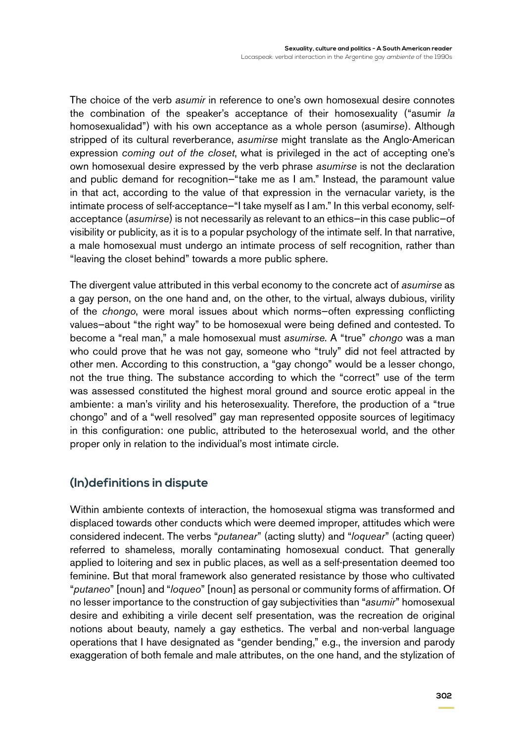The choice of the verb *asumir* in reference to one's own homosexual desire connotes the combination of the speaker's acceptance of their homosexuality ("asumir *la* homosexualidad") with his own acceptance as a whole person (asumir*se*). Although stripped of its cultural reverberance, *asumirse* might translate as the Anglo-American expression *coming out of the closet*, what is privileged in the act of accepting one's own homosexual desire expressed by the verb phrase *asumirse* is not the declaration and public demand for recognition—"take me as I am." Instead, the paramount value in that act, according to the value of that expression in the vernacular variety, is the intimate process of self-acceptance—"I take myself as I am." In this verbal economy, selfacceptance (*asumirse*) is not necessarily as relevant to an ethics—in this case public—of visibility or publicity, as it is to a popular psychology of the intimate self. In that narrative, a male homosexual must undergo an intimate process of self recognition, rather than "leaving the closet behind" towards a more public sphere.

The divergent value attributed in this verbal economy to the concrete act of *asumirse* as a gay person, on the one hand and, on the other, to the virtual, always dubious, virility of the *chongo*, were moral issues about which norms—often expressing conflicting values—about "the right way" to be homosexual were being defined and contested. To become a "real man," a male homosexual must *asumirse*. A "true" *chongo* was a man who could prove that he was not gay, someone who "truly" did not feel attracted by other men. According to this construction, a "gay chongo" would be a lesser chongo, not the true thing. The substance according to which the "correct" use of the term was assessed constituted the highest moral ground and source erotic appeal in the ambiente: a man's virility and his heterosexuality. Therefore, the production of a "true chongo" and of a "well resolved" gay man represented opposite sources of legitimacy in this configuration: one public, attributed to the heterosexual world, and the other proper only in relation to the individual's most intimate circle.

### **(In)definitions in dispute**

Within ambiente contexts of interaction, the homosexual stigma was transformed and displaced towards other conducts which were deemed improper, attitudes which were considered indecent. The verbs "*putanear*" (acting slutty) and "*loquear*" (acting queer) referred to shameless, morally contaminating homosexual conduct. That generally applied to loitering and sex in public places, as well as a self-presentation deemed too feminine. But that moral framework also generated resistance by those who cultivated "*putaneo*" [noun] and "*loqueo*" [noun] as personal or community forms of affirmation. Of no lesser importance to the construction of gay subjectivities than "*asumir*" homosexual desire and exhibiting a virile decent self presentation, was the recreation de original notions about beauty, namely a gay esthetics. The verbal and non-verbal language operations that I have designated as "gender bending," e.g., the inversion and parody exaggeration of both female and male attributes, on the one hand, and the stylization of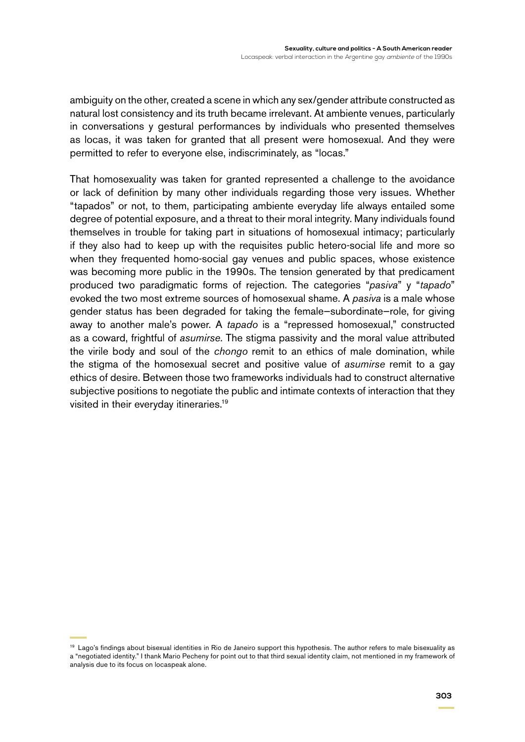ambiguity on the other, created a scene in which any sex/gender attribute constructed as natural lost consistency and its truth became irrelevant. At ambiente venues, particularly in conversations y gestural performances by individuals who presented themselves as locas, it was taken for granted that all present were homosexual. And they were permitted to refer to everyone else, indiscriminately, as "locas."

That homosexuality was taken for granted represented a challenge to the avoidance or lack of definition by many other individuals regarding those very issues. Whether "tapados" or not, to them, participating ambiente everyday life always entailed some degree of potential exposure, and a threat to their moral integrity. Many individuals found themselves in trouble for taking part in situations of homosexual intimacy; particularly if they also had to keep up with the requisites public hetero-social life and more so when they frequented homo-social gay venues and public spaces, whose existence was becoming more public in the 1990s. The tension generated by that predicament produced two paradigmatic forms of rejection. The categories "*pasiva*" y "*tapado*" evoked the two most extreme sources of homosexual shame. A *pasiva* is a male whose gender status has been degraded for taking the female—subordinate—role, for giving away to another male's power. A *tapado* is a "repressed homosexual," constructed as a coward, frightful of *asumirse*. The stigma passivity and the moral value attributed the virile body and soul of the *chongo* remit to an ethics of male domination, while the stigma of the homosexual secret and positive value of *asumirse* remit to a gay ethics of desire. Between those two frameworks individuals had to construct alternative subjective positions to negotiate the public and intimate contexts of interaction that they visited in their everyday itineraries.19

<sup>&</sup>lt;sup>19</sup> Lago's findings about bisexual identities in Rio de Janeiro support this hypothesis. The author refers to male bisexuality as a "negotiated identity." I thank Mario Pecheny for point out to that third sexual identity claim, not mentioned in my framework of analysis due to its focus on locaspeak alone.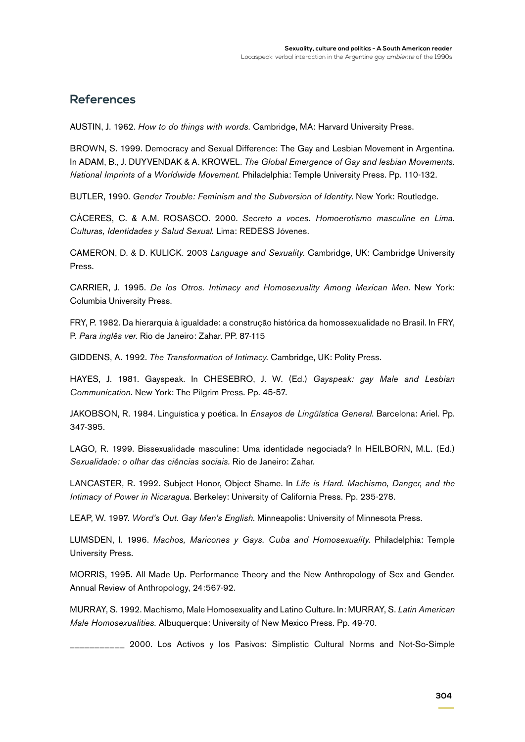#### **References**

AUSTIN, J. 1962. *How to do things with words.* Cambridge, MA: Harvard University Press.

BROWN, S. 1999. Democracy and Sexual Difference: The Gay and Lesbian Movement in Argentina. In ADAM, B., J. DUYVENDAK & A. KROWEL. *The Global Emergence of Gay and lesbian Movements. National Imprints of a Worldwide Movement.* Philadelphia: Temple University Press. Pp. 110-132.

BUTLER, 1990. *Gender Trouble: Feminism and the Subversion of Identity*. New York: Routledge.

CÁCERES, C. & A.M. ROSASCO. 2000. *Secreto a voces. Homoerotismo masculine en Lima. Culturas, Identidades y Salud Sexual.* Lima: REDESS Jóvenes.

CAMERON, D. & D. KULICK. 2003 *Language and Sexuality.* Cambridge, UK: Cambridge University Press.

CARRIER, J. 1995. *De los Otros. Intimacy and Homosexuality Among Mexican Men.* New York: Columbia University Press.

FRY, P. 1982. Da hierarquia à igualdade: a construção histórica da homossexualidade no Brasil. In FRY, P. *Para inglês ver.* Rio de Janeiro: Zahar. PP. 87-115

GIDDENS, A. 1992. *The Transformation of Intimacy.* Cambridge, UK: Polity Press.

HAYES, J. 1981. Gayspeak. In CHESEBRO, J. W. (Ed.) *Gayspeak: gay Male and Lesbian Communication.* New York: The Pilgrim Press. Pp. 45-57.

JAKOBSON, R. 1984. Linguística y poética. In *Ensayos de Lingüística General*. Barcelona: Ariel. Pp. 347-395.

LAGO, R. 1999. Bissexualidade masculine: Uma identidade negociada? In HEILBORN, M.L. (Ed.) *Sexualidade: o olhar das ciências sociais.* Rio de Janeiro: Zahar.

LANCASTER, R. 1992. Subject Honor, Object Shame. In *Life is Hard. Machismo, Danger, and the Intimacy of Power in Nicaragua*. Berkeley: University of California Press. Pp. 235-278.

LEAP, W. 1997. *Word's Out. Gay Men's English*. Minneapolis: University of Minnesota Press.

LUMSDEN, I. 1996. *Machos, Maricones y Gays. Cuba and Homosexuality.* Philadelphia: Temple University Press.

MORRIS, 1995. All Made Up. Performance Theory and the New Anthropology of Sex and Gender. Annual Review of Anthropology, 24:567-92.

MURRAY, S. 1992. Machismo, Male Homosexuality and Latino Culture. In: MURRAY, S. *Latin American Male Homosexualities.* Albuquerque: University of New Mexico Press. Pp. 49-70.

\_\_\_\_\_\_\_\_\_\_\_ 2000. Los Activos y los Pasivos: Simplistic Cultural Norms and Not-So-Simple